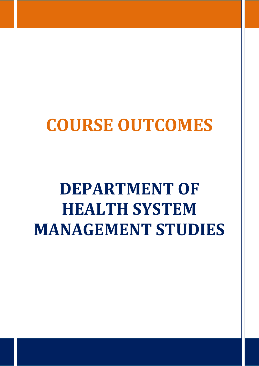## **COURSE OUTCOMES**

## **DEPARTMENT OF HEALTH SYSTEM MANAGEMENT STUDIES**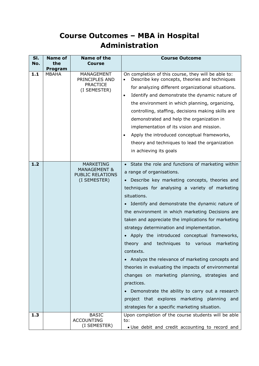## **Course Outcomes – MBA in Hospital Administration**

| SI.<br>No. | <b>Name of</b><br>the<br>Program | Name of the<br><b>Course</b>                                                           | <b>Course Outcome</b>                                                                                                                                                                                                                                                                                                                                                                                                                                                                                                                                                                                                                                                                                                                                                                                                                                                   |
|------------|----------------------------------|----------------------------------------------------------------------------------------|-------------------------------------------------------------------------------------------------------------------------------------------------------------------------------------------------------------------------------------------------------------------------------------------------------------------------------------------------------------------------------------------------------------------------------------------------------------------------------------------------------------------------------------------------------------------------------------------------------------------------------------------------------------------------------------------------------------------------------------------------------------------------------------------------------------------------------------------------------------------------|
| 1.1        | <b>MBAHA</b>                     | MANAGEMENT<br>PRINCIPLES AND<br><b>PRACTICE</b><br>(I SEMESTER)                        | On completion of this course, they will be able to:<br>Describe key concepts, theories and techniques<br>for analyzing different organizational situations.<br>Identify and demonstrate the dynamic nature of<br>$\bullet$<br>the environment in which planning, organizing,<br>controlling, staffing, decisions making skills are<br>demonstrated and help the organization in<br>implementation of its vision and mission.<br>Apply the introduced conceptual frameworks,<br>$\bullet$<br>theory and techniques to lead the organization<br>in achieving its goals                                                                                                                                                                                                                                                                                                    |
| 1.2        |                                  | <b>MARKETING</b><br><b>MANAGEMENT &amp;</b><br><b>PUBLIC RELATIONS</b><br>(I SEMESTER) | State the role and functions of marketing within<br>a range of organisations.<br>Describe key marketing concepts, theories and<br>techniques for analysing a variety of marketing<br>situations.<br>• Identify and demonstrate the dynamic nature of<br>the environment in which marketing Decisions are<br>taken and appreciate the implications for marketing<br>strategy determination and implementation.<br>Apply the introduced conceptual frameworks,<br>theory<br>techniques<br>various<br>marketing<br>and<br>to<br>contexts.<br>Analyze the relevance of marketing concepts and<br>theories in evaluating the impacts of environmental<br>changes on marketing planning, strategies and<br>practices.<br>Demonstrate the ability to carry out a research<br>project that explores marketing planning<br>and<br>strategies for a specific marketing situation. |
| 1.3        |                                  | <b>BASIC</b><br><b>ACCOUNTING</b><br>(I SEMESTER)                                      | Upon completion of the course students will be able<br>to:<br>. Use debit and credit accounting to record and                                                                                                                                                                                                                                                                                                                                                                                                                                                                                                                                                                                                                                                                                                                                                           |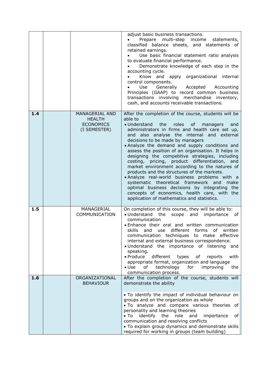|     |                                                                     | adjust basic business transactions.<br>Prepare multi-step income<br>statements,<br>classified balance sheets, and statements of<br>retained earnings.<br>Use basic financial statement ratio analysis<br>to evaluate financial performance.<br>Demonstrate knowledge of each step in the<br>accounting cycle.<br>Know and apply organizational internal<br>control components.<br>Generally Accepted Accounting<br>Use<br>Principles (GAAP) to record common business<br>transactions involving merchandise inventory,<br>cash, and accounts receivable transactions.                                                                                                                                                                                                                                                     |
|-----|---------------------------------------------------------------------|---------------------------------------------------------------------------------------------------------------------------------------------------------------------------------------------------------------------------------------------------------------------------------------------------------------------------------------------------------------------------------------------------------------------------------------------------------------------------------------------------------------------------------------------------------------------------------------------------------------------------------------------------------------------------------------------------------------------------------------------------------------------------------------------------------------------------|
| 1.4 | MANAGERIAL AND<br><b>HEALTH</b><br><b>ECONOMICS</b><br>(I SEMESTER) | After the completion of the course, students will be<br>able to<br>• Understand the<br>roles of<br>managers<br>and<br>administrators in firms and health care set up,<br>and also analyse the internal and external<br>decisions to be made by managers<br>• Analyze the demand and supply conditions and<br>assess the position of an organisation. It helps in<br>designing the competitive strategies, including<br>pricing, product differentiation, and<br>costing,<br>market environment according to the natures of<br>products and the structures of the markets.<br>• Analyze real-world business problems with a<br>systematic theoretical framework and<br>make<br>optimal business decisions by integrating the<br>concepts of economics, health care, with the<br>application of mathematics and statistics. |
| 1.5 | MANAGERIAL<br>COMMUNICATION                                         | On completion of this course, they will be able to:<br>• Understand the<br>scope and<br>importance of<br>communication<br>• Enhance their oral and written communication<br>use different forms<br>of<br>skills<br>and<br>written<br>communication techniques to make effective<br>internal and external business correspondence.<br>· Understand the importance of listening and<br>speaking.<br>$\bullet$ Produce<br>different<br>with<br>types<br>of<br>reports<br>appropriate format, organization and language<br>of technology for<br>$\bullet$ Use<br>improving<br>the<br>communication process.                                                                                                                                                                                                                   |
| 1.6 | ORGANIZATIONAL<br><b>BEHAVIOUR</b>                                  | After the completion of the course, students will<br>demonstrate the ability<br>• To identify the impact of individual behaviour on<br>groups and on the organization as whole<br>. To analyze and compare various theories of<br>personality and learning theories<br>identify<br>$\bullet$ To<br>the<br>role<br>and<br>importance<br>of<br>communication and resolving conflicts<br>. To explain group dynamics and demonstrate skills<br>required for working in groups (team building)                                                                                                                                                                                                                                                                                                                                |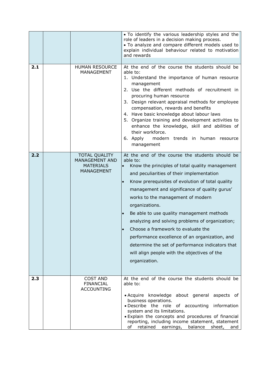|     |                                                                                        | . To identify the various leadership styles and the<br>role of leaders in a decision making process.<br>• To analyze and compare different models used to<br>explain individual behaviour related to motivation<br>and rewards                                                                                                                                                                                                                                                                                                                                                                                                       |
|-----|----------------------------------------------------------------------------------------|--------------------------------------------------------------------------------------------------------------------------------------------------------------------------------------------------------------------------------------------------------------------------------------------------------------------------------------------------------------------------------------------------------------------------------------------------------------------------------------------------------------------------------------------------------------------------------------------------------------------------------------|
| 2.1 | <b>HUMAN RESOURCE</b><br><b>MANAGEMENT</b>                                             | At the end of the course the students should be<br>able to:<br>1. Understand the importance of human resource<br>management<br>2. Use the different methods of recruitment in<br>procuring human resource<br>3. Design relevant appraisal methods for employee<br>compensation, rewards and benefits<br>4. Have basic knowledge about labour laws<br>5. Organize training and development activities to<br>enhance the knowledge, skill and abilities of<br>their workforce.<br>6. Apply<br>modern trends in human resource<br>management                                                                                            |
| 2.2 | <b>TOTAL QUALITY</b><br><b>MANAGEMENT AND</b><br><b>MATERIALS</b><br><b>MANAGEMENT</b> | At the end of the course the students should be<br>able to:<br>Know the principles of total quality management<br>and peculiarities of their implementation<br>Know prerequisites of evolution of total quality<br>management and significance of quality gurus'<br>works to the management of modern<br>organizations.<br>Be able to use quality management methods<br>analyzing and solving problems of organization;<br>Choose a framework to evaluate the<br>performance excellence of an organization, and<br>determine the set of performance indicators that<br>will align people with the objectives of the<br>organization. |
| 2.3 | <b>COST AND</b><br><b>FINANCIAL</b><br><b>ACCOUNTING</b>                               | At the end of the course the students should be<br>able to:<br>• Acquire knowledge about general aspects of<br>business operations.<br>· Describe the role of accounting information<br>system and its limitations.<br>. Explain the concepts and procedures of financial<br>reporting, including income statement, statement<br>of retained earnings, balance sheet, and                                                                                                                                                                                                                                                            |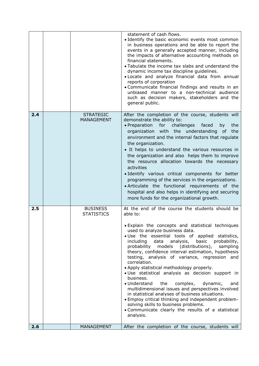|     |                                       | statement of cash flows.<br>• Identify the basic economic events most common<br>in business operations and be able to report the<br>events in a generally accepted manner, including<br>the impacts of alternative accounting methods on<br>financial statements.<br>• Tabulate the income tax slabs and understand the<br>dynamic income tax discipline guidelines.<br>. Locate and analyze financial data from annual<br>reports of corporation<br>• Communicate financial findings and results in an<br>unbiased manner to a non-technical audience<br>such as decision makers, stakeholders and the<br>general public.                                                                                                                                                                                                                                                      |
|-----|---------------------------------------|---------------------------------------------------------------------------------------------------------------------------------------------------------------------------------------------------------------------------------------------------------------------------------------------------------------------------------------------------------------------------------------------------------------------------------------------------------------------------------------------------------------------------------------------------------------------------------------------------------------------------------------------------------------------------------------------------------------------------------------------------------------------------------------------------------------------------------------------------------------------------------|
| 2.4 | <b>STRATEGIC</b><br><b>MANAGEMENT</b> | After the completion of the course, students will<br>demonstrate the ability to:<br>challenges<br>• Preparation<br>for<br>faced<br>by<br>the<br>organization with the understanding<br>the<br>of<br>environment and the internal factors that regulate<br>the organization.<br>• It helps to understand the various resources in<br>the organization and also helps them to improve<br>the resource allocation towards the necessary<br>activities<br>· Identify various critical components for better<br>programming of the services in the organizations.<br>. Articulate the functional requirements of the<br>hospital and also helps in identifying and securing<br>more funds for the organizational growth.                                                                                                                                                             |
| 2.5 | <b>BUSINESS</b><br><b>STATISTICS</b>  | At the end of the course the students should be<br>able to:<br>Explain the concepts and statistical techniques<br>used to analyze business data.<br>. Use the essential tools of applied statistics,<br>data analysis, basic probability,<br>including<br>probability models (distributions),<br>sampling<br>theory, confidence interval estimation, hypothesis<br>testing, analysis of variance, regression and<br>correlation.<br>• Apply statistical methodology properly.<br>· Use statistical analysis as decision support in<br>business.<br>the<br>• Understand<br>complex,<br>dynamic,<br>and<br>multidimensional issues and perspectives involved<br>in statistical analyses of business situations.<br>• Employ critical thinking and independent problem-<br>solving skills to business problems.<br>• Communicate clearly the results of a statistical<br>analysis. |
| 2.6 | <b>MANAGEMENT</b>                     | After the completion of the course, students will                                                                                                                                                                                                                                                                                                                                                                                                                                                                                                                                                                                                                                                                                                                                                                                                                               |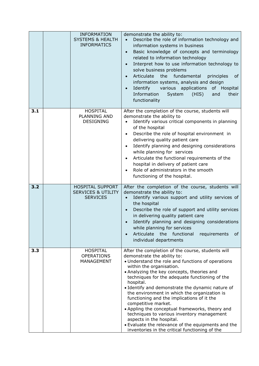|     | <b>INFORMATION</b><br><b>SYSTEMS &amp; HEALTH</b><br><b>INFORMATICS</b> | demonstrate the ability to:<br>Describe the role of information technology and<br>information systems in business<br>Basic knowledge of concepts and terminology<br>$\bullet$<br>related to information technology<br>Interpret how to use information technology to<br>$\bullet$<br>solve business problems<br>Articulate<br>the fundamental<br>principles<br>0f<br>$\bullet$<br>information systems, analysis and design<br>various applications of Hospital<br>Identify<br>$\bullet$<br>Information<br>System<br>(HIS)<br>their<br>and<br>functionality                                                                                                                                   |
|-----|-------------------------------------------------------------------------|----------------------------------------------------------------------------------------------------------------------------------------------------------------------------------------------------------------------------------------------------------------------------------------------------------------------------------------------------------------------------------------------------------------------------------------------------------------------------------------------------------------------------------------------------------------------------------------------------------------------------------------------------------------------------------------------|
| 3.1 | <b>HOSPITAL</b><br>PLANNING AND<br><b>DESIGNING</b>                     | After the completion of the course, students will<br>demonstrate the ability to<br>Identify various critical components in planning<br>of the hospital<br>Describe the role of hospital environment in<br>$\bullet$<br>delivering quality patient care<br>Identify planning and designing considerations<br>$\bullet$<br>while planning for services<br>Articulate the functional requirements of the<br>hospital in delivery of patient care<br>Role of administrators in the smooth<br>functioning of the hospital.                                                                                                                                                                        |
| 3.2 | HOSPITAL SUPPORT<br><b>SERVICES &amp; UTILITY</b><br><b>SERVICES</b>    | After the completion of the course, students will<br>demonstrate the ability to:<br>Identify various support and utility services of<br>the hospital<br>Describe the role of support and utility services<br>$\bullet$<br>in delivering quality patient care<br>Identify planning and designing considerations<br>$\bullet$<br>while planning for services<br>Articulate<br>the<br>functional<br>requirements<br>0f<br>$\bullet$<br>individual departments                                                                                                                                                                                                                                   |
| 3.3 | <b>HOSPITAL</b><br><b>OPERATIONS</b><br>MANAGEMENT                      | After the completion of the course, students will<br>demonstrate the ability to:<br>• Understand the role and functions of operations<br>within the organisation.<br>• Analyzing the key concepts, theories and<br>techniques for the adequate functioning of the<br>hospital.<br>• Identify and demonstrate the dynamic nature of<br>the environment in which the organization is<br>functioning and the implications of it the<br>competitive market.<br>• Appling the conceptual frameworks, theory and<br>techniques to various inventory management<br>aspects in the hospital.<br>• Evaluate the relevance of the equipments and the<br>inventories in the critical functioning of the |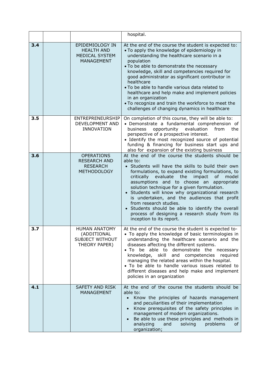|     |                                                                                    | hospital.                                                                                                                                                                                                                                                                                                                                                                                                                                                                                                                                                                                            |
|-----|------------------------------------------------------------------------------------|------------------------------------------------------------------------------------------------------------------------------------------------------------------------------------------------------------------------------------------------------------------------------------------------------------------------------------------------------------------------------------------------------------------------------------------------------------------------------------------------------------------------------------------------------------------------------------------------------|
| 3.4 | EPIDEMIOLOGY IN<br><b>HEALTH AND</b><br><b>MEDICAL SYSTEM</b><br><b>MANAGEMENT</b> | At the end of the course the student is expected to:<br>• To apply the knowledge of epidemiology in<br>understanding the healthcare scenario in a<br>population<br>. To be able to demonstrate the necessary<br>knowledge, skill and competencies required for<br>good administrator as significant contributor in<br>healthcare<br>• To be able to handle various data related to<br>healthcare and help make and implement policies<br>in an organization<br>• To recognize and train the workforce to meet the<br>challenges of changing dynamics in healthcare                                   |
| 3.5 | ENTREPRENEURSHIP<br>DEVELOPMENT AND<br><b>INNOVATION</b>                           | On completion of this course, they will be able to:<br>· Demonstrate a fundamental comprehension of<br>opportunity<br>business<br>evaluation<br>from<br>the<br>perspective of a prospective interest.<br>• Identify the most recognized source of potential<br>funding & financing for business start ups and<br>also for expansion of the existing business                                                                                                                                                                                                                                         |
| 3.6 | <b>OPERATIONS</b><br><b>RESEARCH AND</b><br><b>RESEARCH</b><br><b>METHODOLOGY</b>  | At the end of the course the students should be<br>able to:<br>• Students will have the skills to build their own<br>formulations, to expand existing formulations, to<br>of<br>critically<br>evaluate the<br>impact<br>model<br>assumptions and to choose an appropriate<br>solution technique for a given formulation.<br>• Students will know why organizational research<br>is undertaken, and the audiences that profit<br>from research studies.<br>Students should be able to identify the overall<br>$\bullet$<br>process of designing a research study from its<br>inception to its report. |
| 3.7 | <b>HUMAN ANATOMY</b><br>(ADDITIONAL<br>SUBJECT WITHOUT<br>THEORY PAPER)            | At the end of the course the student is expected to-<br>• To apply the knowledge of basic terminologies in<br>understanding the healthcare scenario and the<br>diseases affecting the different systems.<br>be able to demonstrate the necessary<br>$\bullet$ To<br>knowledge, skill and competencies<br>required<br>managing the related areas within the hospital.<br>• To be able to handle various issues related to<br>different diseases and help make and implement<br>policies in an organization                                                                                            |
| 4.1 | <b>SAFETY AND RISK</b><br><b>MANAGEMENT</b>                                        | At the end of the course the students should be<br>able to:<br>Know the principles of hazards management<br>and peculiarities of their implementation<br>Know prerequisites of the safety principles in<br>management of modern organizations.<br>Be able to use these principles and methods in<br>solving<br>analyzing<br>and<br>problems<br>0f.<br>organization;                                                                                                                                                                                                                                  |